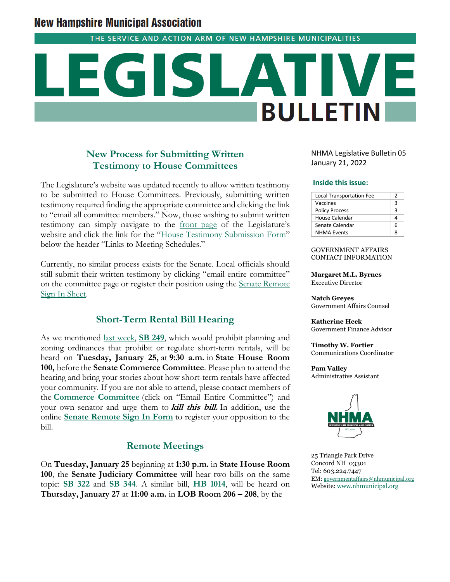# **New Hampshire Municipal Association**

THE SERVICE AND ACTION ARM OF NEW HAMPSHIRE MUNICIPALITIES

# **BULLETIN**

# **New Process for Submitting Written Testimony to House Committees**

The Legislature's website was updated recently to allow written testimony to be submitted to House Committees. Previously, submitting written testimony required finding the appropriate committee and clicking the link to "email all committee members." Now, those wishing to submit written testimony can simply navigate to the [front page](http://www.gencourt.state.nh.us/) of the Legislature's website and click the link for the "[House Testimony Submission Form](http://www.gencourt.state.nh.us/house/committees/remotetestimony/default.aspx)" below the header "Links to Meeting Schedules."

Currently, no similar process exists for the Senate. Local officials should still submit their written testimony by clicking "email entire committee" on the committee page or register their position using the [Senate Remote](http://www.gencourt.state.nh.us/remotecommittee/senate.aspx)  [Sign In Sheet.](http://www.gencourt.state.nh.us/remotecommittee/senate.aspx)

# **Short-Term Rental Bill Hearing**

As we mentioned [last week,](https://www.nhmunicipal.org/legislative-bulletin/2022-nhma-legislative-bulletin-04#26351) **[SB 249](http://www.gencourt.state.nh.us/bill_status/pdf.aspx?id=29051&q=billVersion)**, which would prohibit planning and zoning ordinances that prohibit or regulate short-term rentals, will be heard on **Tuesday, January 25,** at **9:30 a.m.** in **State House Room 100,** before the **Senate Commerce Committee**. Please plan to attend the hearing and bring your stories about how short-term rentals have affected your community. If you are not able to attend, please contact members of the **[Commerce Committee](http://www.gencourt.state.nh.us/senate/committees/committee_details.aspx?cc=40)** (click on "Email Entire Committee") and your own senator and urge them to **kill this bill.** In addition, use the online **[Senate Remote Sign In Form](http://www.gencourt.state.nh.us/remotecommittee/senate.aspx)** to register your opposition to the bill.

# **Remote Meetings**

On **Tuesday, January 25** beginning at **1:30 p.m.** in **State House Room 100**, the **Senate Judiciary Committee** will hear two bills on the same topic: **[SB 322](http://www.gencourt.state.nh.us/bill_status/pdf.aspx?id=29065&q=billVersion)** and **[SB 344](http://www.gencourt.state.nh.us/bill_status/pdf.aspx?id=29088&q=billVersion)**. A similar bill, **[HB 1014](http://www.gencourt.state.nh.us/bill_Status/pdf.aspx?id=26014&q=billVersion)**, will be heard on **Thursday, January 27** at **11:00 a.m.** in **LOB Room 206 – 208**, by the

NHMA Legislative Bulletin 05 January 21, 2022

#### **Inside this issue:**

| <b>Local Transportation Fee</b> | 2 |
|---------------------------------|---|
| Vaccines                        | ₹ |
| <b>Policy Process</b>           | ٦ |
| House Calendar                  |   |
| Senate Calendar                 | Б |
| <b>NHMA Events</b>              |   |

#### GOVERNMENT AFFAIRS CONTACT INFORMATION

**Margaret M.L. Byrnes** Executive Director

**Natch Greyes** Government Affairs Counsel

**Katherine Heck** Government Finance Advisor

**Timothy W. Fortier** Communications Coordinator

**Pam Valley** Administrative Assistant



25 Triangle Park Drive Concord NH 03301 Tel: 603.224.7447 EM: [governmentaffairs@nhmunicipal.org](mailto:governmentaffairs@nhmunicipal.org) Website[: www.nhmunicipal.org](http://www.nhmunicipal.org/)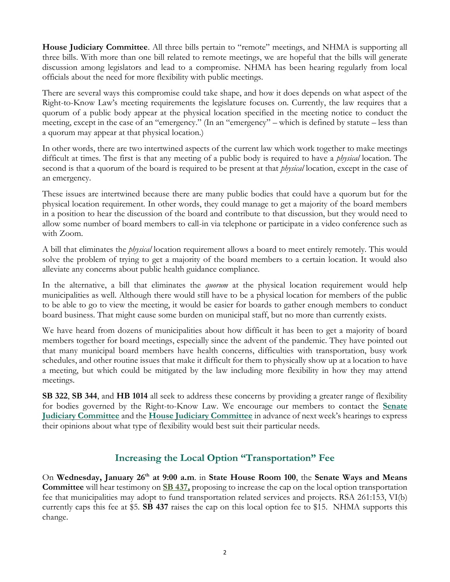**House Judiciary Committee**. All three bills pertain to "remote" meetings, and NHMA is supporting all three bills. With more than one bill related to remote meetings, we are hopeful that the bills will generate discussion among legislators and lead to a compromise. NHMA has been hearing regularly from local officials about the need for more flexibility with public meetings.

There are several ways this compromise could take shape, and how it does depends on what aspect of the Right-to-Know Law's meeting requirements the legislature focuses on. Currently, the law requires that a quorum of a public body appear at the physical location specified in the meeting notice to conduct the meeting, except in the case of an "emergency." (In an "emergency" – which is defined by statute – less than a quorum may appear at that physical location.)

In other words, there are two intertwined aspects of the current law which work together to make meetings difficult at times. The first is that any meeting of a public body is required to have a *physical* location. The second is that a quorum of the board is required to be present at that *physical* location, except in the case of an emergency.

These issues are intertwined because there are many public bodies that could have a quorum but for the physical location requirement. In other words, they could manage to get a majority of the board members in a position to hear the discussion of the board and contribute to that discussion, but they would need to allow some number of board members to call-in via telephone or participate in a video conference such as with Zoom.

A bill that eliminates the *physical* location requirement allows a board to meet entirely remotely. This would solve the problem of trying to get a majority of the board members to a certain location. It would also alleviate any concerns about public health guidance compliance.

In the alternative, a bill that eliminates the *quorum* at the physical location requirement would help municipalities as well. Although there would still have to be a physical location for members of the public to be able to go to view the meeting, it would be easier for boards to gather enough members to conduct board business. That might cause some burden on municipal staff, but no more than currently exists.

We have heard from dozens of municipalities about how difficult it has been to get a majority of board members together for board meetings, especially since the advent of the pandemic. They have pointed out that many municipal board members have health concerns, difficulties with transportation, busy work schedules, and other routine issues that make it difficult for them to physically show up at a location to have a meeting, but which could be mitigated by the law including more flexibility in how they may attend meetings.

**SB 322**, **SB 344**, and **HB 1014** all seek to address these concerns by providing a greater range of flexibility for bodies governed by the Right-to-Know Law. We encourage our members to contact the **[Senate](http://www.gencourt.state.nh.us/senate/committees/committee_details.aspx?cc=33)  [Judiciary Committee](http://www.gencourt.state.nh.us/senate/committees/committee_details.aspx?cc=33)** and the **[House Judiciary Committee](http://www.gencourt.state.nh.us/house/committees/committeedetails.aspx?id=5)** in advance of next week's hearings to express their opinions about what type of flexibility would best suit their particular needs.

# **Increasing the Local Option "Transportation" Fee**

On **Wednesday, January 26th at 9:00 a.m**. in **State House Room 100**, the **Senate Ways and Means Committee** will hear testimony on **[SB 437,](http://www.gencourt.state.nh.us/bill_Status/pdf.aspx?id=29902&q=billVersion)** proposing to increase the cap on the local option transportation fee that municipalities may adopt to fund transportation related services and projects. RSA 261:153, VI(b) currently caps this fee at \$5. **SB 437** raises the cap on this local option fee to \$15. NHMA supports this change.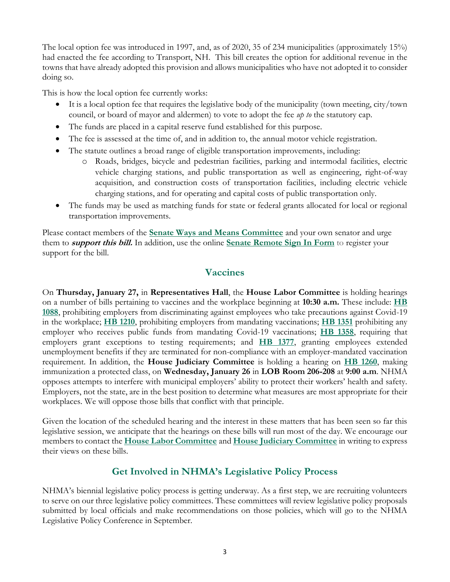The local option fee was introduced in 1997, and, as of 2020, 35 of 234 municipalities (approximately 15%) had enacted the fee according to Transport, NH. This bill creates the option for additional revenue in the towns that have already adopted this provision and allows municipalities who have not adopted it to consider doing so.

This is how the local option fee currently works:

- It is a local option fee that requires the legislative body of the municipality (town meeting, city/town council, or board of mayor and aldermen) to vote to adopt the fee *up to* the statutory cap.
- The funds are placed in a capital reserve fund established for this purpose.
- The fee is assessed at the time of, and in addition to, the annual motor vehicle registration.
- The statute outlines a broad range of eligible transportation improvements, including:
	- o Roads, bridges, bicycle and pedestrian facilities, parking and intermodal facilities, electric vehicle charging stations, and public transportation as well as engineering, right-of-way acquisition, and construction costs of transportation facilities, including electric vehicle charging stations, and for operating and capital costs of public transportation only.
- The funds may be used as matching funds for state or federal grants allocated for local or regional transportation improvements.

Please contact members of the **[Senate Ways and Means Committee](http://www.gencourt.state.nh.us/senate/committees/committee_details.aspx?cc=35)** and your own senator and urge them to **support this bill.** In addition, use the online **[Senate Remote Sign In Form](http://www.gencourt.state.nh.us/remotecommittee/senate.aspx)** to register your support for the bill.

# **Vaccines**

On **Thursday, January 27,** in **Representatives Hall**, the **House Labor Committee** is holding hearings on a number of bills pertaining to vaccines and the workplace beginning at **10:30 a.m.** These include: **[HB](http://www.gencourt.state.nh.us/bill_status/pdf.aspx?id=26120&q=billVersion)  [1088](http://www.gencourt.state.nh.us/bill_status/pdf.aspx?id=26120&q=billVersion)**, prohibiting employers from discriminating against employees who take precautions against Covid-19 in the workplace; **[HB 1210](http://www.gencourt.state.nh.us/bill_status/pdf.aspx?id=27635&q=billVersion)**, prohibiting employers from mandating vaccinations; **[HB 1351](http://www.gencourt.state.nh.us/bill_status/pdf.aspx?id=27852&q=billVersion)** prohibiting any employer who receives public funds from mandating Covid-19 vaccinations; **[HB 1358](http://www.gencourt.state.nh.us/bill_status/pdf.aspx?id=27859&q=billVersion)**, requiring that employers grant exceptions to testing requirements; and **[HB 1377](http://www.gencourt.state.nh.us/bill_status/pdf.aspx?id=28250&q=billVersion)**, granting employees extended unemployment benefits if they are terminated for non-compliance with an employer-mandated vaccination requirement. In addition, the **House Judiciary Committee** is holding a hearing on **[HB 1260](http://www.gencourt.state.nh.us/bill_status/pdf.aspx?id=27722&q=billVersion)**, making immunization a protected class, on **Wednesday, January 26** in **LOB Room 206-208** at **9:00 a.m**. NHMA opposes attempts to interfere with municipal employers' ability to protect their workers' health and safety. Employers, not the state, are in the best position to determine what measures are most appropriate for their workplaces. We will oppose those bills that conflict with that principle.

Given the location of the scheduled hearing and the interest in these matters that has been seen so far this legislative session, we anticipate that the hearings on these bills will run most of the day. We encourage our members to contact the **[House Labor Committee](http://www.gencourt.state.nh.us/house/committees/committeedetails.aspx?id=6)** and **[House Judiciary Committee](http://www.gencourt.state.nh.us/house/committees/committeedetails.aspx?id=5)** in writing to express their views on these bills.

# **Get Involved in NHMA's Legislative Policy Process**

NHMA's biennial legislative policy process is getting underway. As a first step, we are recruiting volunteers to serve on our three legislative policy committees. These committees will review legislative policy proposals submitted by local officials and make recommendations on those policies, which will go to the NHMA Legislative Policy Conference in September.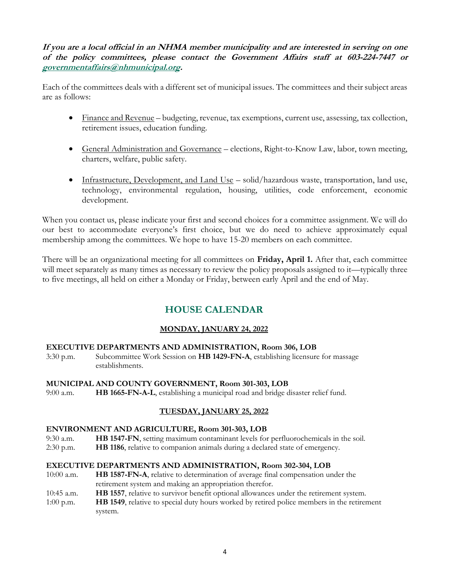**If you are a local official in an NHMA member municipality and are interested in serving on one of the policy committees, please contact the Government Affairs staff at 603-224-7447 or [governmentaffairs@nhmunicipal.org.](mailto:governmentaffairs@nhmunicipal.org)** 

Each of the committees deals with a different set of municipal issues. The committees and their subject areas are as follows:

- Finance and Revenue budgeting, revenue, tax exemptions, current use, assessing, tax collection, retirement issues, education funding.
- General Administration and Governance elections, Right-to-Know Law, labor, town meeting, charters, welfare, public safety.
- Infrastructure, Development, and Land Use solid/hazardous waste, transportation, land use, technology, environmental regulation, housing, utilities, code enforcement, economic development.

When you contact us, please indicate your first and second choices for a committee assignment. We will do our best to accommodate everyone's first choice, but we do need to achieve approximately equal membership among the committees. We hope to have 15-20 members on each committee.

There will be an organizational meeting for all committees on **Friday, April 1.** After that, each committee will meet separately as many times as necessary to review the policy proposals assigned to it—typically three to five meetings, all held on either a Monday or Friday, between early April and the end of May.

# **HOUSE CALENDAR**

# **MONDAY, JANUARY 24, 2022**

# **EXECUTIVE DEPARTMENTS AND ADMINISTRATION, Room 306, LOB**

3:30 p.m. Subcommittee Work Session on **HB 1429-FN-A**, establishing licensure for massage establishments.

# **MUNICIPAL AND COUNTY GOVERNMENT, Room 301-303, LOB**

9:00 a.m. **HB 1665-FN-A-L**, establishing a municipal road and bridge disaster relief fund.

# **TUESDAY, JANUARY 25, 2022**

# **ENVIRONMENT AND AGRICULTURE, Room 301-303, LOB**

- 9:30 a.m. **HB 1547-FN**, setting maximum contaminant levels for perfluorochemicals in the soil.
- 2:30 p.m. **HB 1186**, relative to companion animals during a declared state of emergency.

# **EXECUTIVE DEPARTMENTS AND ADMINISTRATION, Room 302-304, LOB**

- 10:00 a.m. **HB 1587-FN-A**, relative to determination of average final compensation under the retirement system and making an appropriation therefor.
- 10:45 a.m. **HB 1557**, relative to survivor benefit optional allowances under the retirement system.
- 1:00 p.m. **HB 1549**, relative to special duty hours worked by retired police members in the retirement system.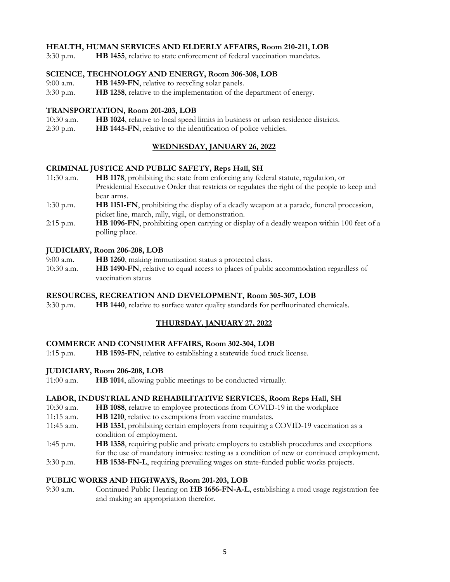# **HEALTH, HUMAN SERVICES AND ELDERLY AFFAIRS, Room 210-211, LOB**

3:30 p.m. **HB 1455**, relative to state enforcement of federal vaccination mandates.

# **SCIENCE, TECHNOLOGY AND ENERGY, Room 306-308, LOB**

- 9:00 a.m. **HB 1459-FN**, relative to recycling solar panels.
- 3:30 p.m. **HB 1258**, relative to the implementation of the department of energy.

## **TRANSPORTATION, Room 201-203, LOB**

- 10:30 a.m. **HB 1024**, relative to local speed limits in business or urban residence districts.
- 2:30 p.m. **HB 1445-FN**, relative to the identification of police vehicles.

# **WEDNESDAY, JANUARY 26, 2022**

# **CRIMINAL JUSTICE AND PUBLIC SAFETY, Reps Hall, SH**

- 11:30 a.m. **HB 1178**, prohibiting the state from enforcing any federal statute, regulation, or Presidential Executive Order that restricts or regulates the right of the people to keep and bear arms.
- 1:30 p.m. **HB 1151-FN**, prohibiting the display of a deadly weapon at a parade, funeral procession, picket line, march, rally, vigil, or demonstration.
- 2:15 p.m. **HB 1096-FN**, prohibiting open carrying or display of a deadly weapon within 100 feet of a polling place.

# **JUDICIARY, Room 206-208, LOB**

- 9:00 a.m. **HB 1260**, making immunization status a protected class.
- 10:30 a.m. **HB 1490-FN**, relative to equal access to places of public accommodation regardless of vaccination status

#### **RESOURCES, RECREATION AND DEVELOPMENT, Room 305-307, LOB**

3:30 p.m. **HB 1440**, relative to surface water quality standards for perfluorinated chemicals.

# **THURSDAY, JANUARY 27, 2022**

#### **COMMERCE AND CONSUMER AFFAIRS, Room 302-304, LOB**

1:15 p.m. **HB 1595-FN**, relative to establishing a statewide food truck license.

#### **JUDICIARY, Room 206-208, LOB**

11:00 a.m. **HB 1014**, allowing public meetings to be conducted virtually.

# **LABOR, INDUSTRIAL AND REHABILITATIVE SERVICES, Room Reps Hall, SH**

- 10:30 a.m. **HB 1088**, relative to employee protections from COVID-19 in the workplace
- 11:15 a.m. **HB 1210**, relative to exemptions from vaccine mandates.
- 11:45 a.m. **HB 1351**, prohibiting certain employers from requiring a COVID-19 vaccination as a condition of employment.
- 1:45 p.m. **HB 1358**, requiring public and private employers to establish procedures and exceptions for the use of mandatory intrusive testing as a condition of new or continued employment.
- 3:30 p.m. **HB 1538-FN-L**, requiring prevailing wages on state-funded public works projects.

#### **PUBLIC WORKS AND HIGHWAYS, Room 201-203, LOB**

9:30 a.m. Continued Public Hearing on **HB 1656-FN-A-L**, establishing a road usage registration fee and making an appropriation therefor.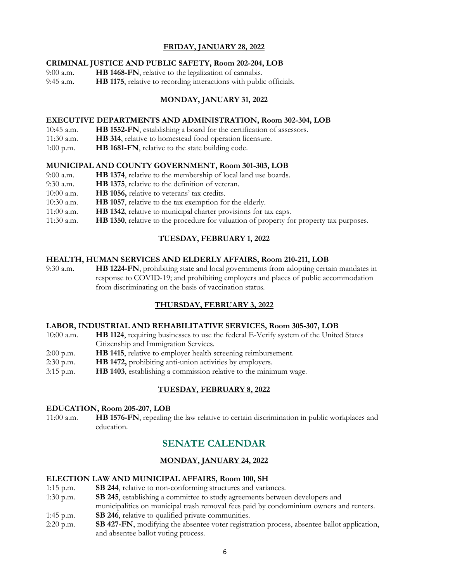# **FRIDAY, JANUARY 28, 2022**

# **CRIMINAL JUSTICE AND PUBLIC SAFETY, Room 202-204, LOB**

- 9:00 a.m. **HB 1468-FN**, relative to the legalization of cannabis.
- 9:45 a.m. **HB 1175**, relative to recording interactions with public officials.

# **MONDAY, JANUARY 31, 2022**

# **EXECUTIVE DEPARTMENTS AND ADMINISTRATION, Room 302-304, LOB**

- 10:45 a.m. **HB 1552-FN**, establishing a board for the certification of assessors.
- 11:30 a.m. **HB 314**, relative to homestead food operation licensure.
- 1:00 p.m. **HB 1681-FN**, relative to the state building code.

# **MUNICIPAL AND COUNTY GOVERNMENT, Room 301-303, LOB**

- 9:00 a.m. **HB 1374**, relative to the membership of local land use boards.
- 9:30 a.m. **HB 1375**, relative to the definition of veteran.
- 10:00 a.m. **HB 1056,** relative to veterans' tax credits.
- 10:30 a.m. **HB 1057**, relative to the tax exemption for the elderly.
- 11:00 a.m. **HB 1342**, relative to municipal charter provisions for tax caps.
- 11:30 a.m. **HB 1350**, relative to the procedure for valuation of property for property tax purposes.

# **TUESDAY, FEBRUARY 1, 2022**

#### **HEALTH, HUMAN SERVICES AND ELDERLY AFFAIRS, Room 210-211, LOB**

9:30 a.m. **HB 1224-FN**, prohibiting state and local governments from adopting certain mandates in response to COVID-19; and prohibiting employers and places of public accommodation from discriminating on the basis of vaccination status.

# **THURSDAY, FEBRUARY 3, 2022**

#### **LABOR, INDUSTRIAL AND REHABILITATIVE SERVICES, Room 305-307, LOB**

- 10:00 a.m. **HB 1124**, requiring businesses to use the federal E-Verify system of the United States Citizenship and Immigration Services.
- 2:00 p.m. **HB 1415**, relative to employer health screening reimbursement.
- 2:30 p.m. **HB 1472,** prohibiting anti-union activities by employers.
- 3:15 p.m. **HB 1403**, establishing a commission relative to the minimum wage.

# **TUESDAY, FEBRUARY 8, 2022**

#### **EDUCATION, Room 205-207, LOB**

11:00 a.m. **HB 1576-FN**, repealing the law relative to certain discrimination in public workplaces and education.

# **SENATE CALENDAR**

# **MONDAY, JANUARY 24, 2022**

#### **ELECTION LAW AND MUNICIPAL AFFAIRS, Room 100, SH**

- 1:15 p.m. **SB 244**, relative to non-conforming structures and variances.
- 1:30 p.m. **SB 245**, establishing a committee to study agreements between developers and municipalities on municipal trash removal fees paid by condominium owners and renters.
- 1:45 p.m. **SB 246**, relative to qualified private communities.
- 2:20 p.m. **SB 427-FN**, modifying the absentee voter registration process, absentee ballot application, and absentee ballot voting process.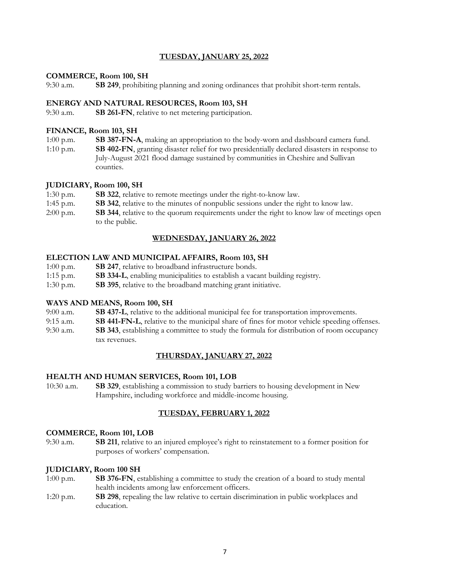# **TUESDAY, JANUARY 25, 2022**

## **COMMERCE, Room 100, SH**

9:30 a.m. **SB 249**, prohibiting planning and zoning ordinances that prohibit short-term rentals.

#### **ENERGY AND NATURAL RESOURCES, Room 103, SH**

9:30 a.m. **SB 261-FN**, relative to net metering participation.

## **FINANCE, Room 103, SH**

1:00 p.m. **SB 387-FN-A**, making an appropriation to the body-worn and dashboard camera fund. 1:10 p.m. **SB 402-FN**, granting disaster relief for two presidentially declared disasters in response to July-August 2021 flood damage sustained by communities in Cheshire and Sullivan counties.

# **JUDICIARY, Room 100, SH**

- 1:30 p.m. **SB 322**, relative to remote meetings under the right-to-know law.
- 1:45 p.m. **SB 342**, relative to the minutes of nonpublic sessions under the right to know law.
- 2:00 p.m. **SB 344**, relative to the quorum requirements under the right to know law of meetings open to the public.

# **WEDNESDAY, JANUARY 26, 2022**

#### **ELECTION LAW AND MUNICIPAL AFFAIRS, Room 103, SH**

- 1:00 p.m. **SB 247**, relative to broadband infrastructure bonds.
- 1:15 p.m. **SB 334-L**, enabling municipalities to establish a vacant building registry.
- 1:30 p.m. **SB 395**, relative to the broadband matching grant initiative.

#### **WAYS AND MEANS, Room 100, SH**

- 9:00 a.m. **SB 437-L**, relative to the additional municipal fee for transportation improvements.
- 9:15 a.m. **SB 441-FN-L**, relative to the municipal share of fines for motor vehicle speeding offenses.
- 9:30 a.m. **SB 343**, establishing a committee to study the formula for distribution of room occupancy tax revenues.

# **THURSDAY, JANUARY 27, 2022**

#### **HEALTH AND HUMAN SERVICES, Room 101, LOB**

10:30 a.m. **SB 329**, establishing a commission to study barriers to housing development in New Hampshire, including workforce and middle-income housing.

# **TUESDAY, FEBRUARY 1, 2022**

#### **COMMERCE, Room 101, LOB**

9:30 a.m. **SB 211**, relative to an injured employee's right to reinstatement to a former position for purposes of workers' compensation.

#### **JUDICIARY, Room 100 SH**

- 1:00 p.m. **SB 376-FN**, establishing a committee to study the creation of a board to study mental health incidents among law enforcement officers.
- 1:20 p.m. **SB 298**, repealing the law relative to certain discrimination in public workplaces and education.